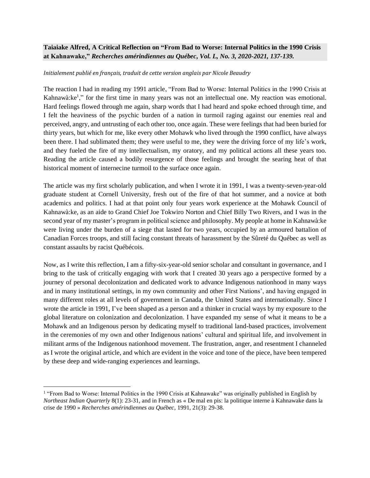## **Taiaiake Alfred, A Critical Reflection on "From Bad to Worse: Internal Politics in the 1990 Crisis at Kahnawake,"** *Recherches amérindiennes au Québec, Vol. L, No. 3, 2020-2021, 137-139.*

## *Initialement publié en français, traduit de cette version anglais par Nicole Beaudry*

The reaction I had in reading my 1991 article, "From Bad to Worse: Internal Politics in the 1990 Crisis at Kahnawà: ke<sup>1</sup>," for the first time in many years was not an intellectual one. My reaction was emotional. Hard feelings flowed through me again, sharp words that I had heard and spoke echoed through time, and I felt the heaviness of the psychic burden of a nation in turmoil raging against our enemies real and perceived, angry, and untrusting of each other too, once again. These were feelings that had been buried for thirty years, but which for me, like every other Mohawk who lived through the 1990 conflict, have always been there. I had sublimated them; they were useful to me, they were the driving force of my life's work, and they fueled the fire of my intellectualism, my oratory, and my political actions all these years too. Reading the article caused a bodily resurgence of those feelings and brought the searing heat of that historical moment of internecine turmoil to the surface once again.

The article was my first scholarly publication, and when I wrote it in 1991, I was a twenty-seven-year-old graduate student at Cornell University, fresh out of the fire of that hot summer, and a novice at both academics and politics. I had at that point only four years work experience at the Mohawk Council of Kahnawà:ke, as an aide to Grand Chief Joe Tokwiro Norton and Chief Billy Two Rivers, and I was in the second year of my master's program in political science and philosophy. My people at home in Kahnawà: ke were living under the burden of a siege that lasted for two years, occupied by an armoured battalion of Canadian Forces troops, and still facing constant threats of harassment by the Sûreté du Québec as well as constant assaults by racist Québécois.

Now, as I write this reflection, I am a fifty-six-year-old senior scholar and consultant in governance, and I bring to the task of critically engaging with work that I created 30 years ago a perspective formed by a journey of personal decolonization and dedicated work to advance Indigenous nationhood in many ways and in many institutional settings, in my own community and other First Nations', and having engaged in many different roles at all levels of government in Canada, the United States and internationally. Since I wrote the article in 1991, I've been shaped as a person and a thinker in crucial ways by my exposure to the global literature on colonization and decolonization. I have expanded my sense of what it means to be a Mohawk and an Indigenous person by dedicating myself to traditional land-based practices, involvement in the ceremonies of my own and other Indigenous nations' cultural and spiritual life, and involvement in militant arms of the Indigenous nationhood movement. The frustration, anger, and resentment I channeled as I wrote the original article, and which are evident in the voice and tone of the piece, have been tempered by these deep and wide-ranging experiences and learnings.

<sup>&</sup>lt;sup>1</sup> "From Bad to Worse: Internal Politics in the 1990 Crisis at Kahnawake" was originally published in English by *Northeast Indian Quarterly* 8(1): 23-31, and in French as « De mal en pis: la politique interne à Kahnawake dans la crise de 1990 » *Recherches amérindiennes au Québec,* 1991, 21(3): 29-38.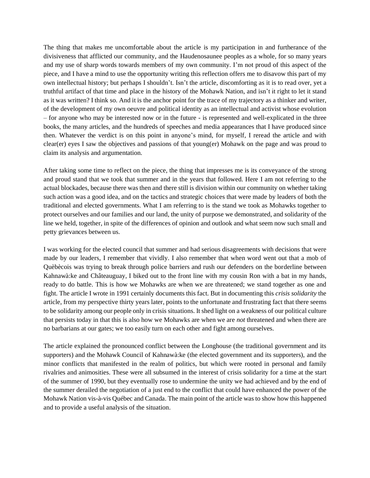The thing that makes me uncomfortable about the article is my participation in and furtherance of the divisiveness that afflicted our community, and the Haudenosaunee peoples as a whole, for so many years and my use of sharp words towards members of my own community. I'm not proud of this aspect of the piece, and I have a mind to use the opportunity writing this reflection offers me to disavow this part of my own intellectual history; but perhaps I shouldn't. Isn't the article, discomforting as it is to read over, yet a truthful artifact of that time and place in the history of the Mohawk Nation, and isn't it right to let it stand as it was written? I think so. And it is the anchor point for the trace of my trajectory as a thinker and writer, of the development of my own oeuvre and political identity as an intellectual and activist whose evolution – for anyone who may be interested now or in the future - is represented and well-explicated in the three books, the many articles, and the hundreds of speeches and media appearances that I have produced since then. Whatever the verdict is on this point in anyone's mind, for myself, I reread the article and with clear(er) eyes I saw the objectives and passions of that young(er) Mohawk on the page and was proud to claim its analysis and argumentation.

After taking some time to reflect on the piece, the thing that impresses me is its conveyance of the strong and proud stand that we took that summer and in the years that followed. Here I am not referring to the actual blockades, because there was then and there still is division within our community on whether taking such action was a good idea, and on the tactics and strategic choices that were made by leaders of both the traditional and elected governments. What I am referring to is the stand we took as Mohawks together to protect ourselves and our families and our land, the unity of purpose we demonstrated, and solidarity of the line we held, together, in spite of the differences of opinion and outlook and what seem now such small and petty grievances between us.

I was working for the elected council that summer and had serious disagreements with decisions that were made by our leaders, I remember that vividly. I also remember that when word went out that a mob of Quèbècois was trying to break through police barriers and rush our defenders on the borderline between Kahnawà:ke and Châteauguay, I biked out to the front line with my cousin Ron with a bat in my hands, ready to do battle. This is how we Mohawks are when we are threatened; we stand together as one and fight. The article I wrote in 1991 certainly documents this fact. But in documenting this *crisis solidarity* the article, from my perspective thirty years later, points to the unfortunate and frustrating fact that there seems to be solidarity among our people only in crisis situations. It shed light on a weakness of our political culture that persists today in that this is also how we Mohawks are when we are *not* threatened and when there are no barbarians at our gates; we too easily turn on each other and fight among ourselves.

The article explained the pronounced conflict between the Longhouse (the traditional government and its supporters) and the Mohawk Council of Kahnawà:ke (the elected government and its supporters), and the minor conflicts that manifested in the realm of politics, but which were rooted in personal and family rivalries and animosities. These were all subsumed in the interest of crisis solidarity for a time at the start of the summer of 1990, but they eventually rose to undermine the unity we had achieved and by the end of the summer derailed the negotiation of a just end to the conflict that could have enhanced the power of the Mohawk Nation vis-à-vis Québec and Canada. The main point of the article was to show how this happened and to provide a useful analysis of the situation.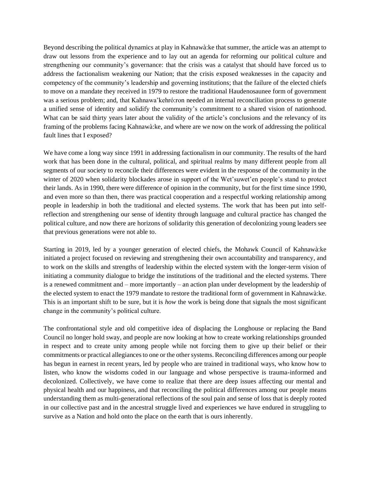Beyond describing the political dynamics at play in Kahnawà:ke that summer, the article was an attempt to draw out lessons from the experience and to lay out an agenda for reforming our political culture and strengthening our community's governance: that the crisis was a catalyst that should have forced us to address the factionalism weakening our Nation; that the crisis exposed weaknesses in the capacity and competency of the community's leadership and governing institutions; that the failure of the elected chiefs to move on a mandate they received in 1979 to restore the traditional Haudenosaunee form of government was a serious problem; and, that Kahnawa'kehró:ron needed an internal reconciliation process to generate a unified sense of identity and solidify the community's commitment to a shared vision of nationhood. What can be said thirty years later about the validity of the article's conclusions and the relevancy of its framing of the problems facing Kahnawà:ke, and where are we now on the work of addressing the political fault lines that I exposed?

We have come a long way since 1991 in addressing factionalism in our community. The results of the hard work that has been done in the cultural, political, and spiritual realms by many different people from all segments of our society to reconcile their differences were evident in the response of the community in the winter of 2020 when solidarity blockades arose in support of the Wet'suwet'en people's stand to protect their lands. As in 1990, there were difference of opinion in the community, but for the first time since 1990, and even more so than then, there was practical cooperation and a respectful working relationship among people in leadership in both the traditional and elected systems. The work that has been put into selfreflection and strengthening our sense of identity through language and cultural practice has changed the political culture, and now there are horizons of solidarity this generation of decolonizing young leaders see that previous generations were not able to.

Starting in 2019, led by a younger generation of elected chiefs, the Mohawk Council of Kahnawà:ke initiated a project focused on reviewing and strengthening their own accountability and transparency, and to work on the skills and strengths of leadership within the elected system with the longer-term vision of initiating a community dialogue to bridge the institutions of the traditional and the elected systems. There is a renewed commitment and – more importantly – an action plan under development by the leadership of the elected system to enact the 1979 mandate to restore the traditional form of government in Kahnawà:ke. This is an important shift to be sure, but it is *how* the work is being done that signals the most significant change in the community's political culture.

The confrontational style and old competitive idea of displacing the Longhouse or replacing the Band Council no longer hold sway, and people are now looking at how to create working relationships grounded in respect and to create unity among people while not forcing them to give up their belief or their commitments or practical allegiances to one or the other systems. Reconciling differences among our people has begun in earnest in recent years, led by people who are trained in traditional ways, who know how to listen, who know the wisdoms coded in our language and whose perspective is trauma-informed and decolonized. Collectively, we have come to realize that there are deep issues affecting our mental and physical health and our happiness, and that reconciling the political differences among our people means understanding them as multi-generational reflections of the soul pain and sense of loss that is deeply rooted in our collective past and in the ancestral struggle lived and experiences we have endured in struggling to survive as a Nation and hold onto the place on the earth that is ours inherently.